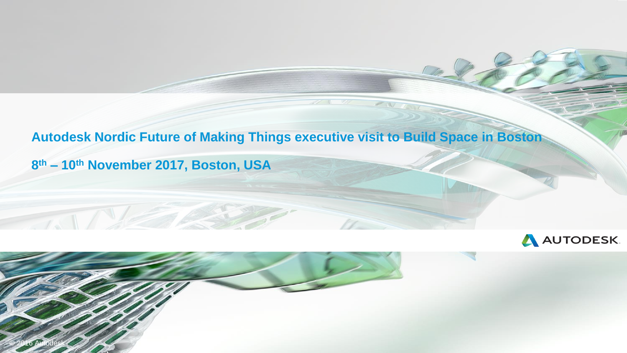### **Autodesk Nordic Future of Making Things executive visit to Build Space in Boston**

**8 th – 10th November 2017, Boston, USA**



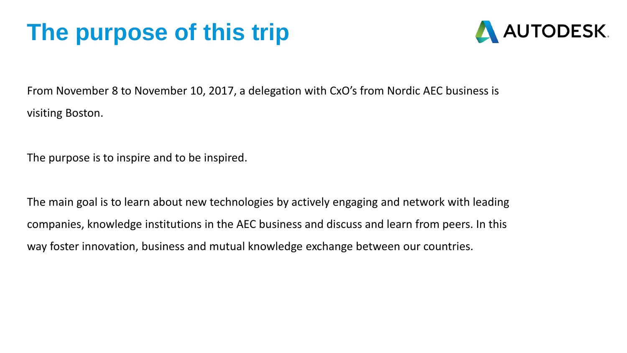# **The purpose of this trip**



From November 8 to November 10, 2017, a delegation with CxO's from Nordic AEC business is visiting Boston.

The purpose is to inspire and to be inspired.

The main goal is to learn about new technologies by actively engaging and network with leading companies, knowledge institutions in the AEC business and discuss and learn from peers. In this way foster innovation, business and mutual knowledge exchange between our countries.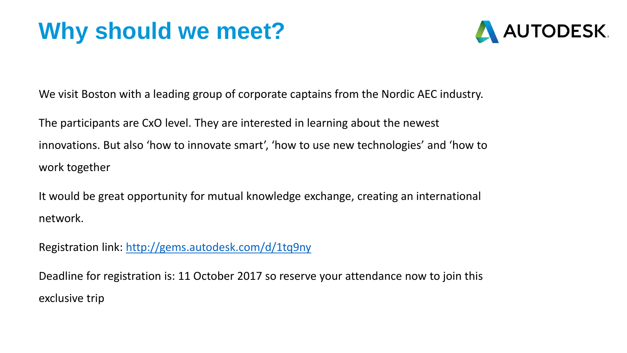# **Why should we meet?**



We visit Boston with a leading group of corporate captains from the Nordic AEC industry.

The participants are CxO level. They are interested in learning about the newest innovations. But also 'how to innovate smart', 'how to use new technologies' and 'how to work together

It would be great opportunity for mutual knowledge exchange, creating an international network.

Registration link: <http://gems.autodesk.com/d/1tq9ny>

Deadline for registration is: 11 October 2017 so reserve your attendance now to join this exclusive trip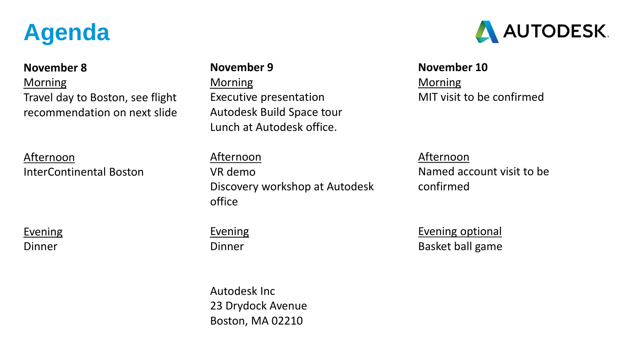# **Agenda**

#### **November 8**

**Morning** Travel day to Boston, see flight recommendation on next slide

### Afternoon InterContinental Boston

**Evening** Dinner

#### **November 9**

**Morning** Executive presentation Autodesk Build Space tour Lunch at Autodesk office.

#### Afternoon

**Evening** 

Dinner

VR demo Discovery workshop at Autodesk office

### Afternoon Named account visit to be confirmed

MIT visit to be confirmed

Evening optional Basket ball game

**November 10**

**Morning** 

Autodesk Inc 23 Drydock Avenue Boston, MA 02210

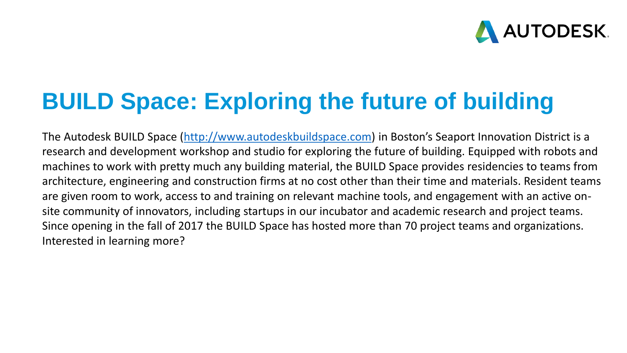

### **BUILD Space: Exploring the future of building**

The Autodesk BUILD Space [\(http://www.autodeskbuildspace.com](http://www.autodeskbuildspace.com/)) in Boston's Seaport Innovation District is a research and development workshop and studio for exploring the future of building. Equipped with robots and machines to work with pretty much any building material, the BUILD Space provides residencies to teams from architecture, engineering and construction firms at no cost other than their time and materials. Resident teams are given room to work, access to and training on relevant machine tools, and engagement with an active onsite community of innovators, including startups in our incubator and academic research and project teams. Since opening in the fall of 2017 the BUILD Space has hosted more than 70 project teams and organizations. Interested in learning more?